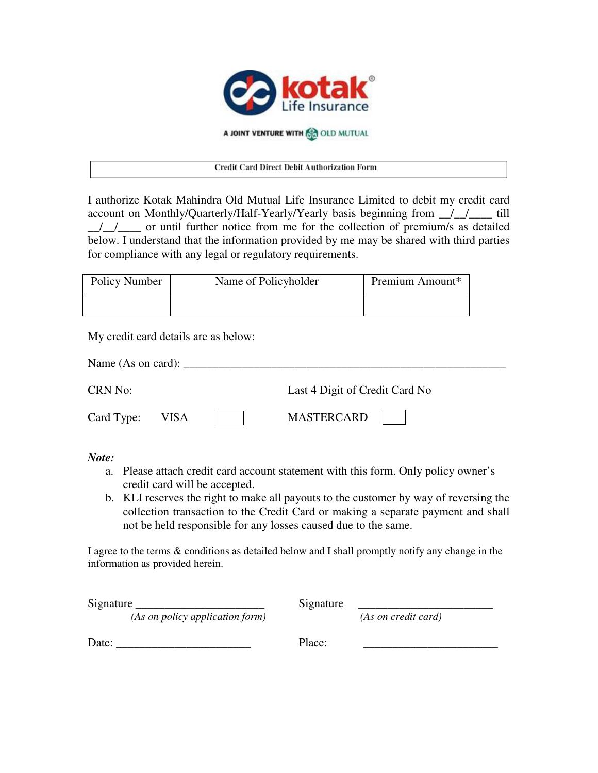

A JOINT VENTURE WITH **AN OLD MUTUAL** 

## Credit Card Direct Debit Authorization Form

I authorize Kotak Mahindra Old Mutual Life Insurance Limited to debit my credit card account on Monthly/Quarterly/Half-Yearly/Yearly basis beginning from \_\_/\_\_/\_\_\_\_ till  $\frac{1}{\sqrt{2}}$  or until further notice from me for the collection of premium/s as detailed below. I understand that the information provided by me may be shared with third parties for compliance with any legal or regulatory requirements.

| Policy Number | Name of Policyholder | Premium Amount* |
|---------------|----------------------|-----------------|
|               |                      |                 |

My credit card details are as below:

| Name (As on card): |             |  |                                |  |
|--------------------|-------------|--|--------------------------------|--|
| CRN No:            |             |  | Last 4 Digit of Credit Card No |  |
| Card Type:         | <b>VISA</b> |  | <b>MASTERCARD</b>              |  |

*Note:* 

- a. Please attach credit card account statement with this form. Only policy owner's credit card will be accepted.
- b. KLI reserves the right to make all payouts to the customer by way of reversing the collection transaction to the Credit Card or making a separate payment and shall not be held responsible for any losses caused due to the same.

I agree to the terms & conditions as detailed below and I shall promptly notify any change in the information as provided herein.

| Signature |                                 | Signature |                     |
|-----------|---------------------------------|-----------|---------------------|
|           | (As on policy application form) |           | (As on credit card) |
| Date:     |                                 | Place:    |                     |